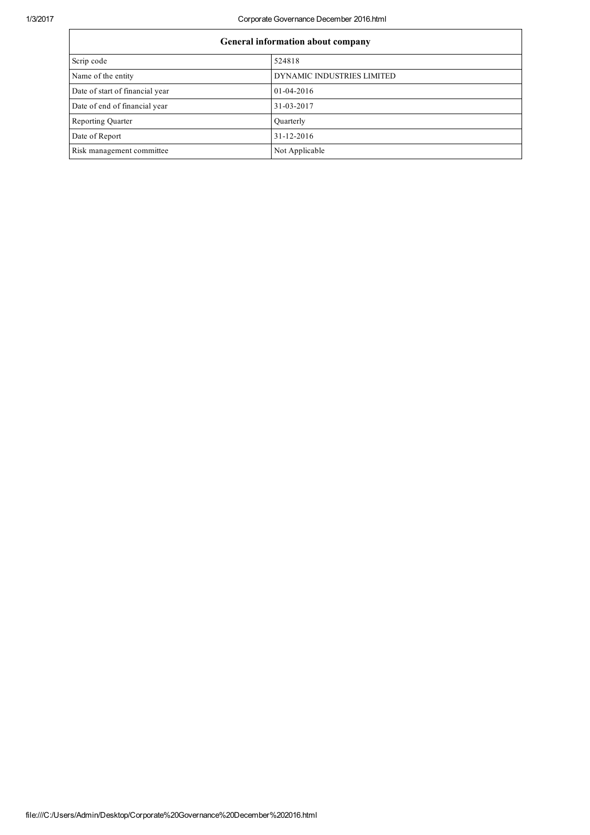1/3/2017 Corporate Governance December 2016.html

| General information about company |                            |  |
|-----------------------------------|----------------------------|--|
| Scrip code                        | 524818                     |  |
| Name of the entity                | DYNAMIC INDUSTRIES LIMITED |  |
| Date of start of financial year   | $01 - 04 - 2016$           |  |
| Date of end of financial year     | 31-03-2017                 |  |
| <b>Reporting Quarter</b>          | Ouarterly                  |  |
| Date of Report                    | $31 - 12 - 2016$           |  |
| Risk management committee         | Not Applicable             |  |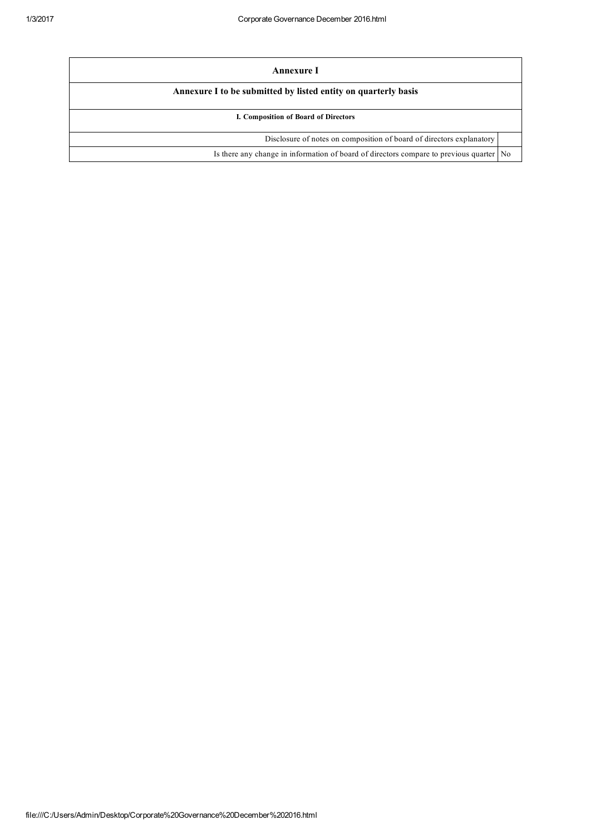| Annexure I                                                                                |  |  |  |
|-------------------------------------------------------------------------------------------|--|--|--|
| Annexure I to be submitted by listed entity on quarterly basis                            |  |  |  |
| I. Composition of Board of Directors                                                      |  |  |  |
| Disclosure of notes on composition of board of directors explanatory                      |  |  |  |
| Is there any change in information of board of directors compare to previous quarter   No |  |  |  |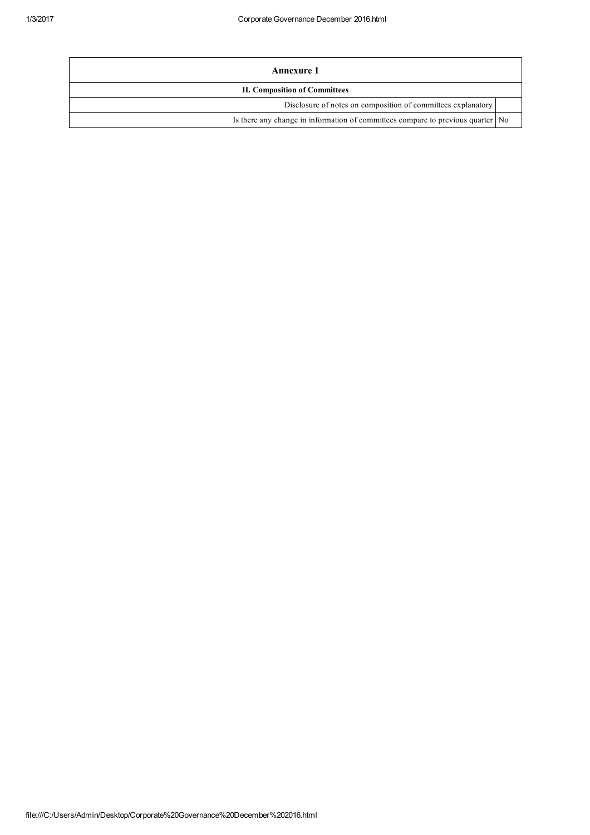| Annexure 1                                                                      |  |  |
|---------------------------------------------------------------------------------|--|--|
| <b>II. Composition of Committees</b>                                            |  |  |
| Disclosure of notes on composition of committees explanatory                    |  |  |
| Is there any change in information of committees compare to previous quarter No |  |  |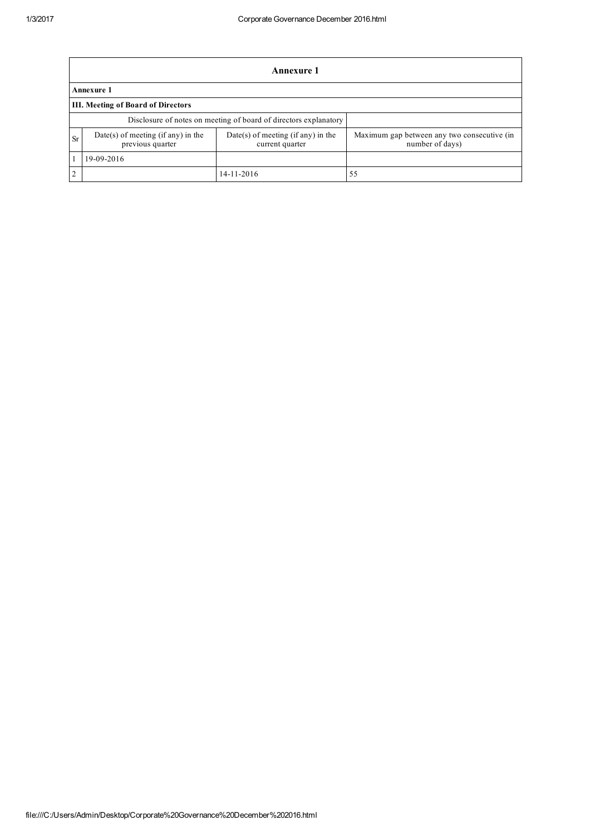|                                                                  | Annexure 1                                             |                                                         |                                                                |  |  |
|------------------------------------------------------------------|--------------------------------------------------------|---------------------------------------------------------|----------------------------------------------------------------|--|--|
|                                                                  | Annexure 1                                             |                                                         |                                                                |  |  |
|                                                                  | <b>III. Meeting of Board of Directors</b>              |                                                         |                                                                |  |  |
| Disclosure of notes on meeting of board of directors explanatory |                                                        |                                                         |                                                                |  |  |
| <b>Sr</b>                                                        | Date(s) of meeting (if any) in the<br>previous quarter | $Date(s)$ of meeting (if any) in the<br>current quarter | Maximum gap between any two consecutive (in<br>number of days) |  |  |
|                                                                  | 19-09-2016                                             |                                                         |                                                                |  |  |
|                                                                  |                                                        | 14-11-2016                                              | 55                                                             |  |  |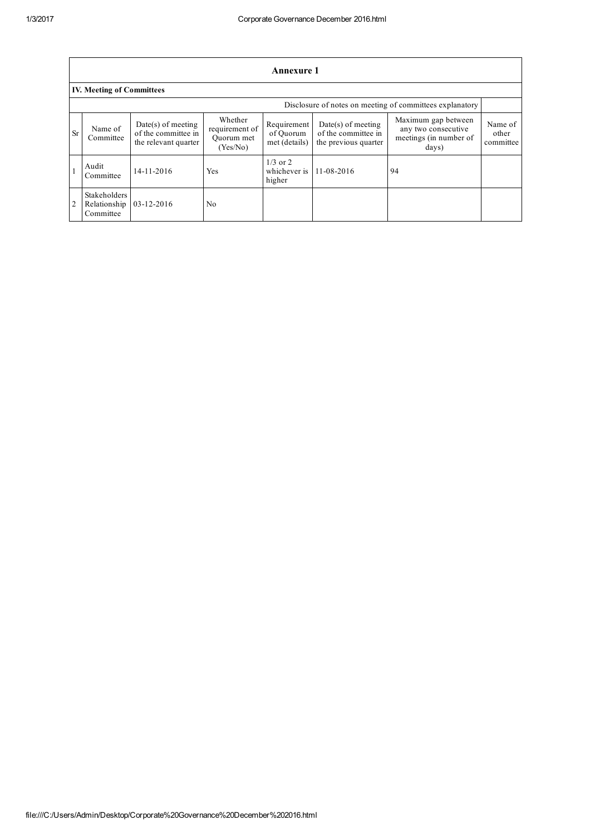|           | Annexure 1                                               |                                                                     |                                                     |                                           |                                                                     |                                                                               |                               |
|-----------|----------------------------------------------------------|---------------------------------------------------------------------|-----------------------------------------------------|-------------------------------------------|---------------------------------------------------------------------|-------------------------------------------------------------------------------|-------------------------------|
|           | <b>IV. Meeting of Committees</b>                         |                                                                     |                                                     |                                           |                                                                     |                                                                               |                               |
|           | Disclosure of notes on meeting of committees explanatory |                                                                     |                                                     |                                           |                                                                     |                                                                               |                               |
| <b>Sr</b> | Name of<br>Committee                                     | $Date(s)$ of meeting<br>of the committee in<br>the relevant quarter | Whether<br>requirement of<br>Ouorum met<br>(Yes/No) | Requirement<br>of Ouorum<br>met (details) | $Date(s)$ of meeting<br>of the committee in<br>the previous quarter | Maximum gap between<br>any two consecutive<br>meetings (in number of<br>days) | Name of<br>other<br>committee |
|           | Audit<br>Committee                                       | 14-11-2016                                                          | Yes                                                 | $1/3$ or 2<br>whichever is<br>higher      | 11-08-2016                                                          | 94                                                                            |                               |
|           | <b>Stakeholders</b><br>Relationship<br>Committee         | $03 - 12 - 2016$                                                    | No                                                  |                                           |                                                                     |                                                                               |                               |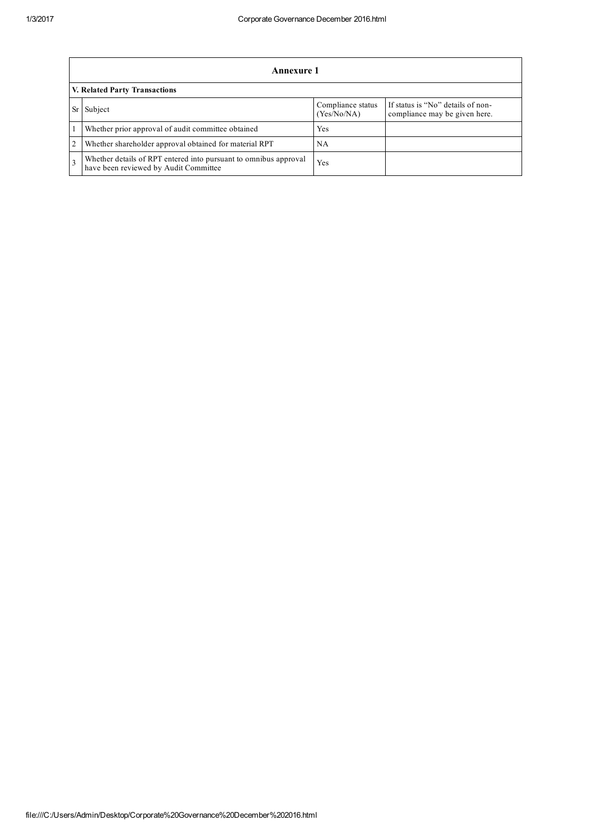|                                      | Annexure 1                                                                                                |                                  |                                                                    |  |
|--------------------------------------|-----------------------------------------------------------------------------------------------------------|----------------------------------|--------------------------------------------------------------------|--|
| <b>V. Related Party Transactions</b> |                                                                                                           |                                  |                                                                    |  |
|                                      | Subject                                                                                                   | Compliance status<br>(Yes/No/NA) | If status is "No" details of non-<br>compliance may be given here. |  |
|                                      | Whether prior approval of audit committee obtained                                                        | Yes                              |                                                                    |  |
| 2                                    | Whether shareholder approval obtained for material RPT                                                    | <b>NA</b>                        |                                                                    |  |
|                                      | Whether details of RPT entered into pursuant to omnibus approval<br>have been reviewed by Audit Committee | Yes                              |                                                                    |  |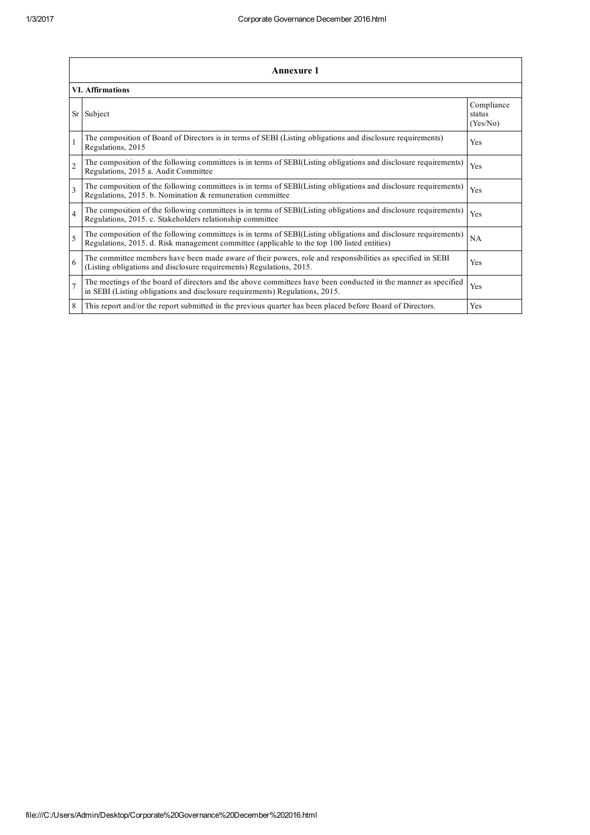|                          | <b>Annexure 1</b>                                                                                                                                                                                               |                                  |  |  |  |
|--------------------------|-----------------------------------------------------------------------------------------------------------------------------------------------------------------------------------------------------------------|----------------------------------|--|--|--|
|                          | <b>VI.</b> Affirmations                                                                                                                                                                                         |                                  |  |  |  |
| Sr                       | Subject                                                                                                                                                                                                         | Compliance<br>status<br>(Yes/No) |  |  |  |
|                          | The composition of Board of Directors is in terms of SEBI (Listing obligations and disclosure requirements)<br>Regulations, 2015                                                                                | Yes                              |  |  |  |
| $\overline{2}$           | The composition of the following committees is in terms of SEBI(Listing obligations and disclosure requirements)<br>Regulations, 2015 a. Audit Committee                                                        | Yes                              |  |  |  |
| $\overline{\mathcal{E}}$ | The composition of the following committees is in terms of SEBI(Listing obligations and disclosure requirements)<br>Regulations, 2015. b. Nomination & remuneration committee                                   | Yes                              |  |  |  |
| $\overline{4}$           | The composition of the following committees is in terms of SEBI(Listing obligations and disclosure requirements)<br>Regulations, 2015. c. Stakeholders relationship committee                                   | <b>Yes</b>                       |  |  |  |
| $\overline{\phantom{0}}$ | The composition of the following committees is in terms of SEBI(Listing obligations and disclosure requirements)<br>Regulations, 2015. d. Risk management committee (applicable to the top 100 listed entities) | NA                               |  |  |  |
| 6                        | The committee members have been made aware of their powers, role and responsibilities as specified in SEBI<br>(Listing obligations and disclosure requirements) Regulations, 2015.                              | Yes                              |  |  |  |
|                          | The meetings of the board of directors and the above committees have been conducted in the manner as specified<br>in SEBI (Listing obligations and disclosure requirements) Regulations, 2015.                  | Yes                              |  |  |  |
| 8                        | This report and/or the report submitted in the previous quarter has been placed before Board of Directors.                                                                                                      | Yes                              |  |  |  |